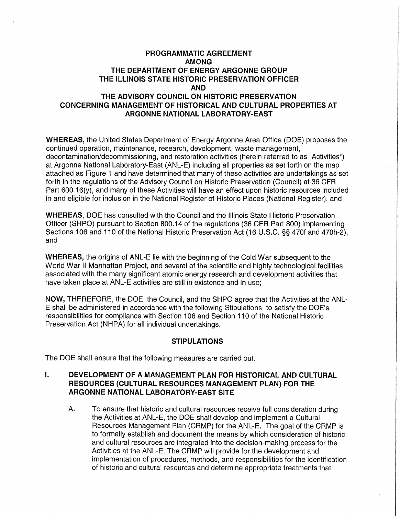# **PROGRAMMATIC AGREEMENT AMONG THE DEPARTMENT OF ENERGY ARGONNE GROUP THE ILLINOIS STATE HISTORIC PRESERVATION OFFICER AND THE ADVISORY COUNCIL ON HISTORIC PRESERVATION CONCERNING MANAGEMENT OF HISTORICAL AND CULTURAL PROPERTIES AT ARGONNE NATIONAL LABORATORY-EAST**

**WHEREAS,** the United States Department of Energy Argonne Area Office (DOE) proposes the continued operation, maintenance, research, development, waste management, decontamination/decommissioning, and restoration activities (herein referred to as "Activities") at Argonne National Laboratory-East (ANL-E) including all properties as set forth on the map attached as Figure 1 and have determined that many of these activities are undertakings as set forth in the regulations of the Advisory Council on Historic Preservation (Council) at 36 CFR Part 600.16(y), and many of these Activities will have an effect upon historic resources included in and eligible for inclusion in the National Register of Historic Places (National Register), and

**WHEREAS,** DOE has consulted with the Council and the Illinois State Historic Preservation Officer (SHPO) pursuant to Section 800.14 of the regulations (36 CFR Part 800) implementing Sections 106 and 110 of the National Historic Preservation Act (16 U.S.C. §§ 470f and 470h-2), and

**WHEREAS,** the origins of ANL-E lie with the beginning of the Cold War subsequent to the World War II Manhattan Project, and several of the scientific and highly technological facilities associated with the many significant atomic energy research and development activities that have taken place at ANL-E activities are still in existence and in use;

**NOW,** THEREFORE, the DOE, the Council, and the SHPO agree that the Activities at the ANL-E shall be administered in accordance with the following Stipulations to satisfy the DOE's responsibilities for compliance with Section 106 and Section 11 O of the National Historic Preservation Act (NHPA) for all individual undertakings.

### **STIPULATIONS**

The DOE shall ensure that the following measures are carried out.

# I. **DEVELOPMENT OF A MANAGEMENT PLAN FOR HISTORICAL AND CULTURAL RESOURCES (CULTURAL RESOURCES MANAGEMENT PLAN) FOR THE ARGONNE NATIONAL LABORATORY-EAST SITE**

A. To ensure that historic and cultural resources receive full consideration during the Activities at ANL-E, the DOE shall develop and implement a Cultural Resources Management Plan (CRMP) for the ANL-E. The goal of the CRMP is to formally establish and document the means by which consideration of historic and cultural resources are integrated into the decision-making process for the Activities at the ANL-E. The CRMP will provide for the development and implementation of procedures, methods, and responsibilities for the identification of historic and cultural resources and determine appropriate treatments that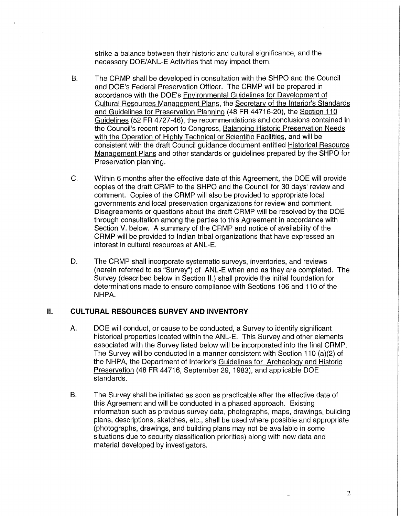strike a balance between their historic and cultural significance, and the necessary DOE/ANL-E Activities that may impact them.

- B. The CAMP shall be developed in consultation with the SHPO and the Council and DOE's Federal Preservation Officer. The CAMP will be prepared in accordance with the DOE's Environmental Guidelines for Development of Cultural Resources Management Plans, the Secretary of the Interior's Standards and Guidelines for Preservation Planning (48 FR 44716-20), the Section 110 Guidelines {52 FR 4727-46), the recommendations and conclusions contained in the Council's recent report to Congress, Balancing Historic Preservation Needs with the Operation of Highly Technical or Scientific Facilities, and will be consistent with the draft Council guidance document entitled Historical Resource Management Plans and other standards or guidelines prepared by the SHPO for Preservation planning.
- C. Within 6 months after the effective date of this Agreement, the DOE will provide copies of the draft CRMP to the SHPO and the Council for 30 days' review and comment. Copies of the CAMP will also be provided to appropriate local governments and local preservation organizations for review and comment. Disagreements or questions about the draft CRMP will be resolved by the DOE through consultation among the parties to this Agreement in accordance with Section V. below. A summary of the CAMP and notice of availability of the CRMP will be provided to Indian tribal organizations that have expressed an interest in cultural resources at ANL-E.
- D. The CAMP shall incorporate systematic surveys, inventories, and reviews (herein referred to as "Survey") of ANL-E when and as they are completed. The Survey (described below in Section II.) shall provide the initial foundation for determinations made to ensure compliance with Sections 106 and 110 of the NHPA.

### II. **CULTURAL RESOURCES SURVEY AND INVENTORY**

- A. DOE will conduct, or cause to be conducted, a Survey to identify significant historical properties located within the ANL-E. This Survey and other elements associated with the Survey listed below will be incorporated into the final CAMP. The Survey will be conducted in a manner consistent with Section 110 (a)(2) of the NHPA, the Department of Interior's Guidelines for Archeology and Historic Preservation (48 FR 44716, September 29, 1983), and applicable DOE standards.
- B. The Survey shall be initiated as soon as practicable after the effective date of this Agreement and will be conducted in a phased approach. Existing information such as previous survey data, photographs, maps, drawings, building plans, descriptions, sketches, etc., shall be used where possible and appropriate (photographs, drawings, and building plans may not be available in some situations due to security classification priorities) along with new data and material developed by investigators.

2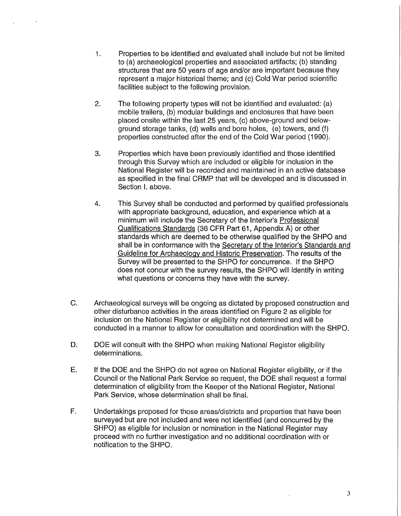- 1. Properties to be identified and evaluated shall include but not be limited to (a) archaeological properties and associated artifacts; (b) standing structures that are 50 years of age and/or are important because they represent a major historical theme; and (c) Cold War period scientific facilities subject to the following provision.
- 2. The following property types will not be identified and evaluated: (a) mobile trailers, (b) modular buildings and enclosures that have been placed onsite within the last 25 years, (c) above-ground and belowground storage tanks, (d) wells and bore holes, (e) towers, and (f) properties constructed after the end of the Cold War period (1990).
- 3. Properties which have been previously identified and those identified through this Survey which are included or eligible for inclusion in the National Register will be recorded and maintained in an active database as specified in the final CRMP that will be developed and is discussed in Section I. above.
- 4. This Survey shall be conducted and performed by qualified professionals with appropriate background, education, and experience which at a minimum will include the Secretary of the Interior's Professional Qualifications Standards (36 CFR Part 61, Appendix A) or other standards which are deemed to be otherwise qualified by the SHPO and shall be in conformance with the Secretary of the Interior's Standards and Guideline for Archaeology and Historic Preservation. The results of the Survey will be presented to the SHPO for concurrence. If the SHPO does not concur with the survey results, the SHPO will identify in writing what questions or concerns they have with the survey.
- C. Archaeological surveys will be ongoing as dictated by proposed construction and other disturbance activities in the areas identified on Figure 2 as eligible for inclusion on the National Register or eligibility not determined and will be conducted in a manner to allow for consultation and coordination with the SHPO.
- D. DOE will consult with the SHPO when making National Register eligibility determinations.
- E. If the DOE and the SHPO do not agree on National Register eligibility, or if the Council or the National Park Service so request, the DOE shall request a formal determination of eligibility from the Keeper of the National Register, National Park Service, whose determination shall be final.
- F. Undertakings proposed for those areas/districts and properties that have been surveyed but are not included and were not identified (and concurred by the SHPO) as eligible for inclusion or nomination in the National Register may proceed with no further investigation and no additional coordination with or notification to the SHPO.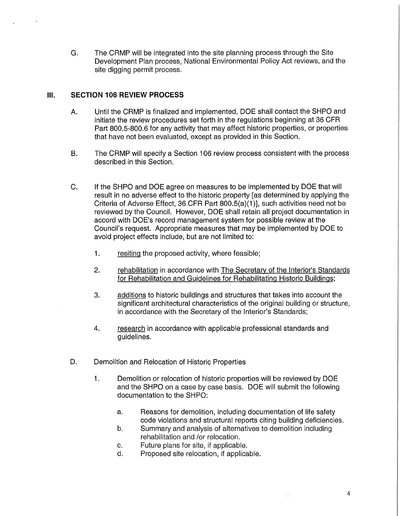G. The CRMP will be integrated into the site planning process through the Site Development Plan process, National Environmental Policy Act reviews, and the site digging permit process.

# **Ill. SECTION 106 REVIEW PROCESS**

- A. Until the CRMP is finalized and implemented, DOE shall contact the SHPO and initiate the review procedures set forth in the regulations beginning at 36 CFR Part 800.5-800.6 for any activity that may affect historic properties, or properties that have not been evaluated, except as provided in this Section.
- B. The CRMP will specify a Section 106 review process consistent with the process described in this Section.
- C. If the SHPO and DOE agree on measures to be implemented by DOE that will result in no adverse effect to the historic property [as determined by applying the Criteria of Adverse Effect, 36 CFR Part 800.5(a)(1 )], such activities need not be reviewed by the Council. However, DOE shall retain all project documentation in accord with DOE's record management system for possible review at the Council's request. Appropriate measures that may be implemented by DOE to avoid project effects include, but are not limited to:
	- 1. resiting the proposed activity, where feasible;
	- 2. rehabilitation in accordance with The Secretary of the Interior's Standards for Rehabilitation and Guidelines for Rehabilitating Historic Buildings;
	- 3. additions to historic buildings and structures that takes into account the significant architectural characteristics of the original building or structure, in accordance with the Secretary of the Interior's Standards;
	- 4. research in accordance with applicable professional standards and guidelines.
- D. Demolition and Relocation of Historic Properties
	- 1. Demolition or relocation of historic properties will be reviewed by DOE and the SHPO on a case by case basis. DOE will submit the following documentation to the SHPO:
		- a. Reasons for demolition, including documentation of life safety code violations and structural reports citing building deficiencies.
		- b. Summary and analysis of alternatives to demolition including rehabilitation and /or relocation.
		- c. Future plans for site, if applicable.
		- d. Proposed site relocation, if applicable.

4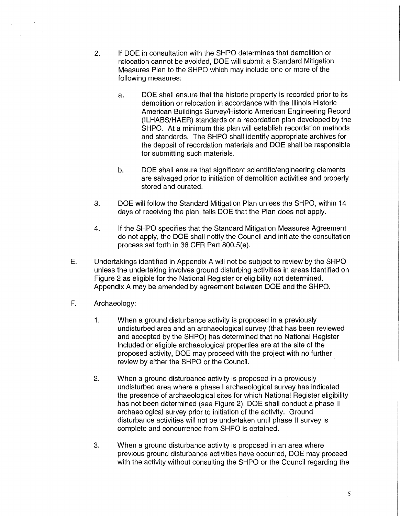- 2. If DOE in consultation with the SHPO determines that demolition or relocation cannot be avoided, DOE will submit a Standard Mitigation Measures Plan to the SHPO which may include one or more of the following measures:
	- a. DOE shall ensure that the historic property is recorded prior to its demolition or relocation in accordance with the Illinois Historic American Buildings Survey/Historic American Engineering Record (ILHABS/HAER) standards or a recordation plan developed by the SHPO. At a minimum this plan will establish recordation methods and standards. The SHPO shall identify appropriate archives for the deposit of recordation materials and DOE shall be responsible for submitting such materials.
	- b. DOE shall ensure that significant scientific/engineering elements are salvaged prior to initiation of demolition activities and properly stored and curated.
- 3. DOE will follow the Standard Mitigation Plan unless the SHPO, within 14 days of receiving the plan, tells DOE that the Plan does not apply.
- 4. If the SHPO specifies that the Standard Mitigation Measures Agreement do not apply, the DOE shall notify the Council and initiate the consultation process set forth in 36 CFR Part 800.S(e).
- E. Undertakings identified in Appendix A will not be subject to review by the SHPO unless the undertaking involves ground disturbing activities in areas identified on Figure 2 as eligible for the National Register or eligibility not determined. Appendix A may be amended by agreement between DOE and the SHPO.
- F. Archaeology:
	- 1. When a ground disturbance activity is proposed in a previously undisturbed area and an archaeological survey (that has been reviewed and accepted by the SHPO) has determined that no National Register included or eligible archaeological properties are at the site of the proposed activity, DOE may proceed with the project with no further review by either the SHPO or the Council.
	- 2. When a ground disturbance activity is proposed in a previously undisturbed area where a phase I archaeological survey has indicated the presence of archaeological sites for which National Register eligibility has not been determined (see Figure 2), DOE shall conduct a phase II archaeological survey prior to initiation of the activity. Ground disturbance activities will not be undertaken until phase II survey is complete and concurrence from SHPO is obtained.
	- 3. When a ground disturbance activity is proposed in an area where previous ground disturbance activities have occurred, DOE may proceed with the activity without consulting the SHPO or the Council regarding the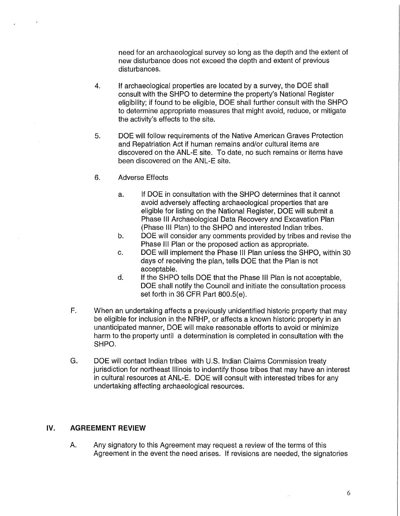need for an archaeological survey so long as the depth and the extent of new disturbance does not exceed the depth and extent of previous disturbances.

- 4. If archaeological properties are located by a survey, the DOE shall consult with the SHPO to determine the property's National Register eligibility; if found to be eligible, DOE shall further consult with the SHPO to determine appropriate measures that might avoid, reduce, or mitigate the activity's effects to the site.
- 5. DOE will follow requirements of the Native American Graves Protection and Repatriation Act if human remains and/or cultural items are discovered on the ANL-E site. To date, no such remains or items have been discovered on the ANL-E site.
- 6. Adverse Effects
	- a. If DOE in consultation with the SHPO determines that it cannot avoid adversely affecting archaeological properties that are eligible for listing on the National Register, DOE will submit a Phase Ill Archaeological Data Recovery and Excavation Plan (Phase Ill Plan) to the SHPO and interested Indian tribes.
	- b. DOE will consider any comments provided by tribes and revise the Phase Ill Plan or the proposed action as appropriate.
	- c. DOE will implement the Phase Ill Plan unless the SHPO, within 30 days of receiving the plan, tells DOE that the Plan is not acceptable.
	- d. If the SHPO tells DOE that the Phase Ill Plan is not acceptable, DOE shall notify the Council and initiate the consultation process set forth in 36 CFR Part 800.5(e).
- F. When an undertaking affects a previously unidentified historic property that may be eligible for inclusion in the NRHP, or affects a known historic property in an unanticipated manner, DOE will make reasonable efforts to avoid or minimize harm to the property until a determination is completed in consultation with the SHPO.
- G. DOE will contact Indian tribes with U.S. Indian Claims Commission treaty jurisdiction for northeast Illinois to indentify those tribes that may have an interest in cultural resources at ANL-E. DOE will consult with interested tribes for any undertaking affecting archaeological resources.

# **IV. AGREEMENT REVIEW**

A. Any signatory to this Agreement may request a review of the terms of this Agreement in the event the need arises. If revisions are needed, the signatories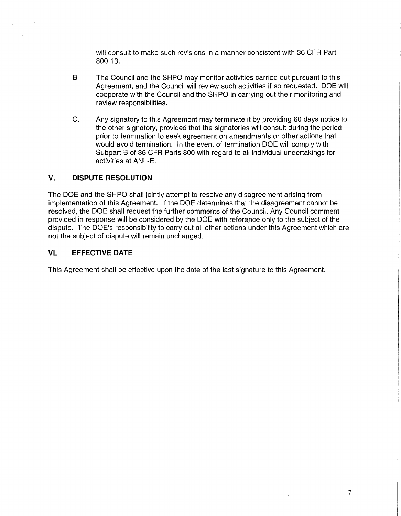will consult to make such revisions in a manner consistent with 36 CFR Part 800.13.

- B The Council and the SHPO may monitor activities carried out pursuant to this Agreement, and the Council will review such activities if so requested. DOE will cooperate with the Council and the SHPO in carrying out their monitoring and review responsibilities.
- C. Any signatory to this Agreement may terminate it by providing 60 days notice to the other signatory, provided that the signatories will consult during the period prior to termination to seek agreement on amendments or other actions that would avoid termination. In the event of termination DOE will comply with Subpart B of 36 CFR Parts 800 with regard to all individual undertakings for activities at ANL-E.

## **V. DISPUTE RESOLUTION**

The DOE and the SHPO shall jointly attempt to resolve any disagreement arising from implementation of this Agreement. If the DOE determines that the disagreement cannot be resolved, the DOE shall request the further comments of the Council. Any Council comment provided in response will be considered by the DOE with reference only to the subject of the dispute. The DOE's responsibility to carry out all other actions under this Agreement which are not the subject of dispute will remain unchanged.

## **VI. EFFECTIVE DATE**

This Agreement shall be effective upon the date of the last signature to this Agreement.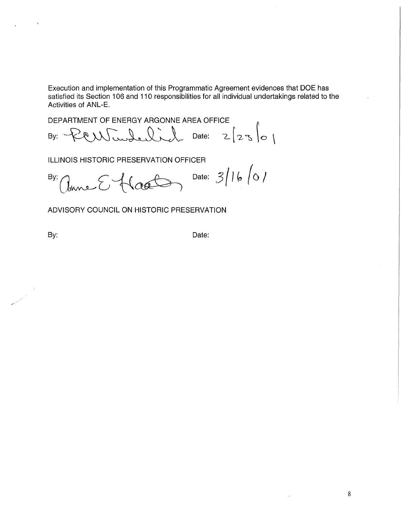Execution and implementation of this Programmatic Agreement evidences that DOE has satisfied its Section 106 and 110 responsibilities for all individual undertakings related to the Activities of ANL-E.

DEPARTMENT OF ENERGY ARGONNE AREA OFFICE By: PCW worked independent Date:  $2\left[23\right]01$ 

ILLINOIS HISTORIC PRESERVATION OFFICER

 ${}^{By:}/l_{mnc}$   $\left\{\{\alpha\}\right\}$  Date:  $3/16/01$ 

ADVISORY COUNCIL ON HISTORIC PRESERVATION

 $\bar{a}$ 

By: Date: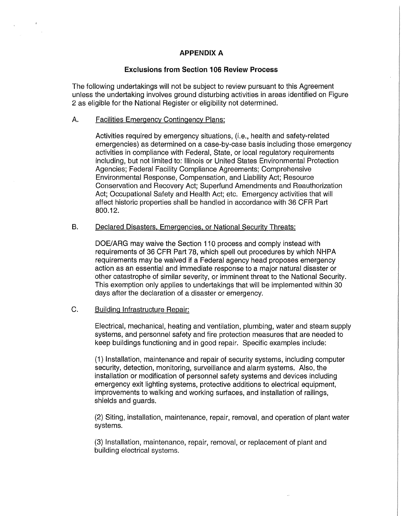# **APPENDIX A**

### **Exclusions from Section 106 Review Process**

The following undertakings will not be subject to review pursuant to this Agreement unless the undertaking involves ground disturbing activities in areas identified on Figure 2 as eligible for the National Register or eligibility not determined.

#### A. Facilities Emergency Contingency Plans:

Activities required by emergency situations, (i.e., health and safety-related emergencies) as determined on a case-by-case basis including those emergency activities in compliance with Federal, State, or local regulatory requirements including, but not limited to: Illinois or United States Environmental Protection Agencies; Federal Facility Compliance Agreements; Comprehensive Environmental Response, Compensation, and Liability Act; Resource Conservation and Recovery Act; Superfund Amendments and Reauthorization Act; Occupational Safety and Health Act; etc. Emergency activities that will affect historic properties shall be handled in accordance with 36 CFR Part 800.12.

#### B. Declared Disasters. Emergencies, or National Security Threats:

DOE/ARG may waive the Section 110 process and comply instead with requirements of 36 CFR Part 78, which spell out procedures by which NHPA requirements may be waived if a Federal agency head proposes emergency action as an essential and immediate response to a major natural disaster or other catastrophe of similar severity, or imminent threat to the National Security. This exemption only applies to undertakings that will be implemented within 30 days after the declaration of a disaster or emergency.

### C. Building Infrastructure Repair:

Electrical, mechanical, heating and ventilation, plumbing, water and steam supply systems, and personnel safety and fire protection measures that are needed to keep buildings functioning and in good repair. Specific examples include:

(1) Installation, maintenance and repair of security systems, including computer security, detection, monitoring, surveillance and alarm systems. Also, the installation or modification of personnel safety systems and devices including emergency exit lighting systems, protective additions to electrical equipment, improvements to walking and working surfaces, and installation of railings, shields and guards.

(2) Siting, installation, maintenance, repair, removal, and operation of plant water systems.

(3) Installation, maintenance, repair, removal, or replacement of plant and building electrical systems.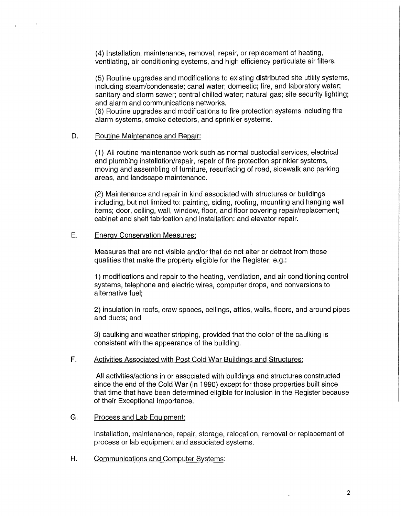(4) Installation, maintenance, removal, repair, or replacement of heating, ventilating, air conditioning systems, and high efficiency particulate air filters.

(5) Routine upgrades and modifications to existing distributed site utility systems, including steam/condensate; canal water; domestic; fire, and laboratory water; sanitary and storm sewer; central chilled water; natural gas; site security lighting; and alarm and communications networks.

(6) Routine upgrades and modifications to fire protection systems including fire alarm systems, smoke detectors, and sprinkler systems.

#### D. Routine Maintenance and Repair:

 $\mathcal{R}^{\pm}$ 

(1) All routine maintenance work such as normal custodial services, electrical and plumbing installation/repair, repair of fire protection sprinkler systems, moving and assembling of furniture, resurfacing of road, sidewalk and parking areas, and landscape maintenance.

(2) Maintenance and repair in kind associated with structures or buildings including, but not limited to: painting, siding, roofing, mounting and hanging wall items; door, ceiling, wall, window, floor, and floor covering repair/replacement; cabinet and shelf fabrication and installation: and elevator repair.

### E. Energy Conservation Measures:

Measures that are not visible and/or that do not alter or detract from those qualities that make the property eligible for the Register; e.g.:

1) modifications and repair to the heating, ventilation, and air conditioning control systems, telephone and electric wires, computer drops, and conversions to alternative fuel;

2) insulation in roofs, craw spaces, ceilings, attics, walls, floors, and around pipes and ducts; and

3) caulking and weather stripping, provided that the color of the caulking is consistent with the appearance of the building.

# F. Activities Associated with Post Cold War Buildings and Structures:

All activities/actions in or associated with buildings and structures constructed since the end of the Cold War (in 1990) except for those properties built since that time that have been determined eligible for inclusion in the Register because of their Exceptional Importance.

### G. Process and Lab Equipment:

Installation, maintenance, repair, storage, relocation, removal or replacement of process or lab equipment and associated systems.

H. Communications and Computer Systems:

u.